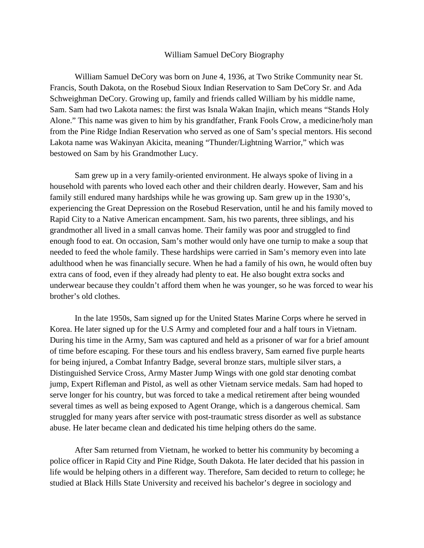## William Samuel DeCory Biography

 from the Pine Ridge Indian Reservation who served as one of Sam's special mentors. His second bestowed on Sam by his Grandmother Lucy. William Samuel DeCory was born on June 4, 1936, at Two Strike Community near St. Francis, South Dakota, on the Rosebud Sioux Indian Reservation to Sam DeCory Sr. and Ada Schweighman DeCory. Growing up, family and friends called William by his middle name, Sam. Sam had two Lakota names: the first was Isnala Wakan Inajin, which means "Stands Holy Alone." This name was given to him by his grandfather, Frank Fools Crow, a medicine/holy man Lakota name was Wakinyan Akicita, meaning "Thunder/Lightning Warrior," which was

 household with parents who loved each other and their children dearly. However, Sam and his enough food to eat. On occasion, Sam's mother would only have one turnip to make a soup that adulthood when he was financially secure. When he had a family of his own, he would often buy Sam grew up in a very family-oriented environment. He always spoke of living in a family still endured many hardships while he was growing up. Sam grew up in the 1930's, experiencing the Great Depression on the Rosebud Reservation, until he and his family moved to Rapid City to a Native American encampment. Sam, his two parents, three siblings, and his grandmother all lived in a small canvas home. Their family was poor and struggled to find needed to feed the whole family. These hardships were carried in Sam's memory even into late extra cans of food, even if they already had plenty to eat. He also bought extra socks and underwear because they couldn't afford them when he was younger, so he was forced to wear his brother's old clothes.

 Korea. He later signed up for the U.S Army and completed four and a half tours in Vietnam. for being injured, a Combat Infantry Badge, several bronze stars, multiple silver stars, a several times as well as being exposed to Agent Orange, which is a dangerous chemical. Sam struggled for many years after service with post-traumatic stress disorder as well as substance abuse. He later became clean and dedicated his time helping others do the same. In the late 1950s, Sam signed up for the United States Marine Corps where he served in During his time in the Army, Sam was captured and held as a prisoner of war for a brief amount of time before escaping. For these tours and his endless bravery, Sam earned five purple hearts Distinguished Service Cross, Army Master Jump Wings with one gold star denoting combat jump, Expert Rifleman and Pistol, as well as other Vietnam service medals. Sam had hoped to serve longer for his country, but was forced to take a medical retirement after being wounded

After Sam returned from Vietnam, he worked to better his community by becoming a police officer in Rapid City and Pine Ridge, South Dakota. He later decided that his passion in life would be helping others in a different way. Therefore, Sam decided to return to college; he studied at Black Hills State University and received his bachelor's degree in sociology and